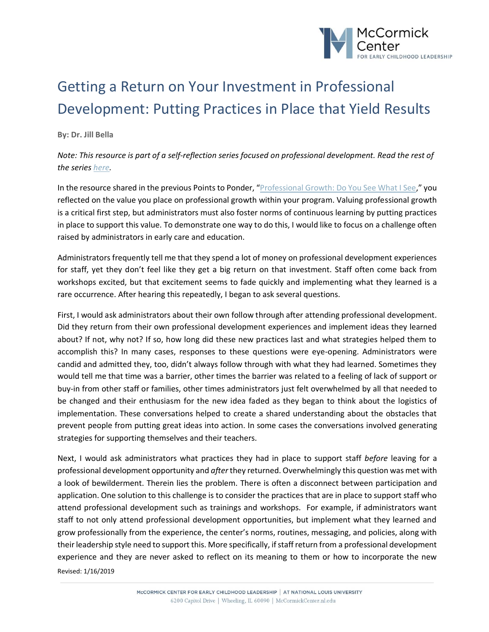

## Getting a Return on Your Investment in Professional Development: Putting Practices in Place that Yield Results

## **By: Dr. Jill Bella**

## *Note: This resource is part of a self-reflection series focused on professional development. Read the rest of the series [here.](https://mccormickcenter.nl.edu/library-tag/series-points-to-ponder/)*

In the resource shared in the previous Points to Ponder, "[Professional Growth: Do You See What I See](https://mccormickcenter.nl.edu/library/professional-growth-do-you-see-what-i-see/)," you reflected on the value you place on professional growth within your program. Valuing professional growth is a critical first step, but administrators must also foster norms of continuous learning by putting practices in place to support this value. To demonstrate one way to do this, I would like to focus on a challenge often raised by administrators in early care and education.

Administrators frequently tell me that they spend a lot of money on professional development experiences for staff, yet they don't feel like they get a big return on that investment. Staff often come back from workshops excited, but that excitement seems to fade quickly and implementing what they learned is a rare occurrence. After hearing this repeatedly, I began to ask several questions.

First, I would ask administrators about their own follow through after attending professional development. Did they return from their own professional development experiences and implement ideas they learned about? If not, why not? If so, how long did these new practices last and what strategies helped them to accomplish this? In many cases, responses to these questions were eye-opening. Administrators were candid and admitted they, too, didn't always follow through with what they had learned. Sometimes they would tell me that time was a barrier, other times the barrier was related to a feeling of lack of support or buy-in from other staff or families, other times administrators just felt overwhelmed by all that needed to be changed and their enthusiasm for the new idea faded as they began to think about the logistics of implementation. These conversations helped to create a shared understanding about the obstacles that prevent people from putting great ideas into action. In some cases the conversations involved generating strategies for supporting themselves and their teachers.

Next, I would ask administrators what practices they had in place to support staff *before* leaving for a professional development opportunity and *after* they returned. Overwhelmingly this question was met with a look of bewilderment. Therein lies the problem. There is often a disconnect between participation and application. One solution to this challenge is to consider the practices that are in place to support staff who attend professional development such as trainings and workshops. For example, if administrators want staff to not only attend professional development opportunities, but implement what they learned and grow professionally from the experience, the center's norms, routines, messaging, and policies, along with their leadership style need to support this. More specifically, if staff return from a professional development experience and they are never asked to reflect on its meaning to them or how to incorporate the new

Revised: 1/16/2019